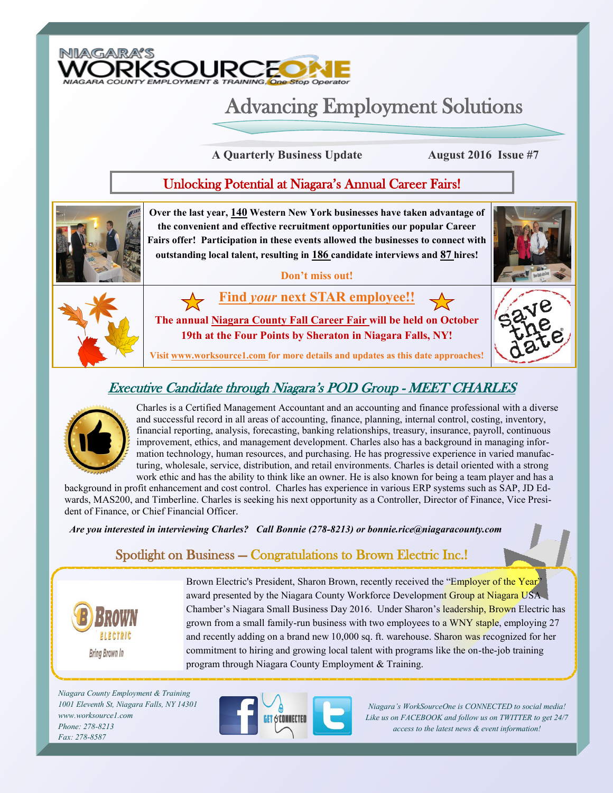

# Advancing Employment Solutions

**A Quarterly Business Update August 2016 Issue #7**

#### Unlocking Potential at Niagara's Annual Career Fairs!



# Executive Candidate through Niagara's POD Group - MEET CHARLES



Charles is a Certified Management Accountant and an accounting and finance professional with a diverse and successful record in all areas of accounting, finance, planning, internal control, costing, inventory, financial reporting, analysis, forecasting, banking relationships, treasury, insurance, payroll, continuous improvement, ethics, and management development. Charles also has a background in managing information technology, human resources, and purchasing. He has progressive experience in varied manufacturing, wholesale, service, distribution, and retail environments. Charles is detail oriented with a strong work ethic and has the ability to think like an owner. He is also known for being a team player and has a

background in profit enhancement and cost control. Charles has experience in various ERP systems such as SAP, JD Edwards, MAS200, and Timberline. Charles is seeking his next opportunity as a Controller, Director of Finance, Vice President of Finance, or Chief Financial Officer.

*Are you interested in interviewing Charles? Call Bonnie (278-8213) or bonnie.rice@niagaracounty.com* 

### Spotlight on Business — Congratulations to Brown Electric Inc.!



Brown Electric's President, Sharon Brown, recently received the "Employer of the Year" award presented by the Niagara County Workforce Development Group at Niagara USA Chamber's Niagara Small Business Day 2016. Under Sharon's leadership, Brown Electric has grown from a small family-run business with two employees to a WNY staple, employing 27 and recently adding on a brand new 10,000 sq. ft. warehouse. Sharon was recognized for her commitment to hiring and growing local talent with programs like the on-the-job training program through Niagara County Employment & Training.

*Niagara County Employment & Training 1001 Eleventh St, Niagara Falls, NY 14301 www.worksource1.com Phone: 278-8213 Fax: 278-8587*



*Niagara's WorkSourceOne is CONNECTED to social media! Like us on FACEBOOK and follow us on TWITTER to get 24/7 access to the latest news & event information!*